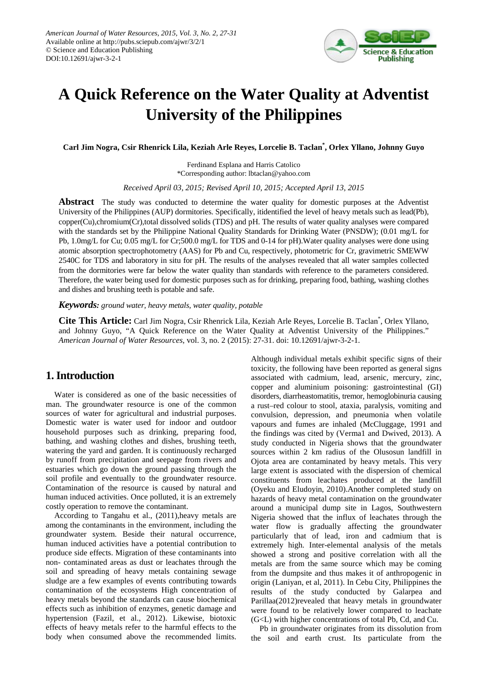

# **A Quick Reference on the Water Quality at Adventist University of the Philippines**

**Carl Jim Nogra, Csir Rhenrick Lila, Keziah Arle Reyes, Lorcelie B. Taclan\* , Orlex Yllano, Johnny Guyo**

Ferdinand Esplana and Harris Catolico \*Corresponding author: lbtaclan@yahoo.com

*Received April 03, 2015; Revised April 10, 2015; Accepted April 13, 2015*

**Abstract** The study was conducted to determine the water quality for domestic purposes at the Adventist University of the Philippines (AUP) dormitories. Specifically, itidentified the level of heavy metals such as lead(Pb), copper(Cu),chromium(Cr),total dissolved solids (TDS) and pH. The results of water quality analyses were compared with the standards set by the Philippine National Quality Standards for Drinking Water (PNSDW); (0.01 mg/L for Pb, 1.0mg/L for Cu; 0.05 mg/L for Cr;500.0 mg/L for TDS and 0-14 for pH).Water quality analyses were done using atomic absorption spectrophotometry (AAS) for Pb and Cu, respectively, photometric for Cr, gravimetric SMEWW 2540C for TDS and laboratory in situ for pH. The results of the analyses revealed that all water samples collected from the dormitories were far below the water quality than standards with reference to the parameters considered. Therefore, the water being used for domestic purposes such as for drinking, preparing food, bathing, washing clothes and dishes and brushing teeth is potable and safe.

#### *Keywords: ground water, heavy metals, water quality, potable*

Cite This Article: Carl Jim Nogra, Csir Rhenrick Lila, Keziah Arle Reyes, Lorcelie B. Taclan<sup>\*</sup>, Orlex Yllano, and Johnny Guyo, "A Quick Reference on the Water Quality at Adventist University of the Philippines." *American Journal of Water Resources*, vol. 3, no. 2 (2015): 27-31. doi: 10.12691/ajwr-3-2-1.

# **1. Introduction**

Water is considered as one of the basic necessities of man. The groundwater resource is one of the common sources of water for agricultural and industrial purposes. Domestic water is water used for indoor and outdoor household purposes such as drinking, preparing food, bathing, and washing clothes and dishes, brushing teeth, watering the yard and garden. It is continuously recharged by runoff from precipitation and seepage from rivers and estuaries which go down the ground passing through the soil profile and eventually to the groundwater resource. Contamination of the resource is caused by natural and human induced activities. Once polluted, it is an extremely costly operation to remove the contaminant.

According to Tangahu et al., (2011),heavy metals are among the contaminants in the environment, including the groundwater system. Beside their natural occurrence, human induced activities have a potential contribution to produce side effects. Migration of these contaminants into non- contaminated areas as dust or leachates through the soil and spreading of heavy metals containing sewage sludge are a few examples of events contributing towards contamination of the ecosystems High concentration of heavy metals beyond the standards can cause biochemical effects such as inhibition of enzymes, genetic damage and hypertension (Fazil, et al., 2012). Likewise, biotoxic effects of heavy metals refer to the harmful effects to the body when consumed above the recommended limits.

Although individual metals exhibit specific signs of their toxicity, the following have been reported as general signs associated with cadmium, lead, arsenic, mercury, zinc, copper and aluminium poisoning: gastrointestinal (GI) disorders, diarrheastomatitis, tremor, hemoglobinuria causing a rust–red colour to stool, ataxia, paralysis, vomiting and convulsion, depression, and pneumonia when volatile vapours and fumes are inhaled (McCluggage, 1991 and the findings was cited by (Verma1 and Dwived, 2013). A study conducted in Nigeria shows that the groundwater sources within 2 km radius of the Olusosun landfill in Ojota area are contaminated by heavy metals. This very large extent is associated with the dispersion of chemical constituents from leachates produced at the landfill (Oyeku and Eludoyin, 2010).Another completed study on hazards of heavy metal contamination on the groundwater around a municipal dump site in Lagos, Southwestern Nigeria showed that the influx of leachates through the water flow is gradually affecting the groundwater particularly that of lead, iron and cadmium that is extremely high. Inter-elemental analysis of the metals showed a strong and positive correlation with all the metals are from the same source which may be coming from the dumpsite and thus makes it of anthropogenic in origin (Laniyan, et al, 2011). In Cebu City, Philippines the results of the study conducted by Galarpea and Parillaa(2012)revealed that heavy metals in groundwater were found to be relatively lower compared to leachate (G<L) with higher concentrations of total Pb, Cd, and Cu.

Pb in groundwater originates from its dissolution from the soil and earth crust. Its particulate from the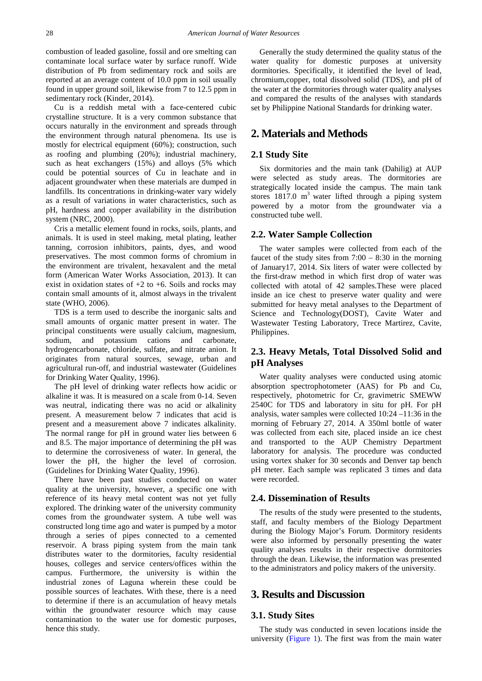combustion of leaded gasoline, fossil and ore smelting can contaminate local surface water by surface runoff. Wide distribution of Pb from sedimentary rock and soils are reported at an average content of 10.0 ppm in soil usually found in upper ground soil, likewise from 7 to 12.5 ppm in sedimentary rock (Kinder, 2014).

Cu is a reddish metal with a face-centered cubic crystalline structure. It is a very common substance that occurs naturally in the environment and spreads through the environment through natural phenomena. Its use is mostly for electrical equipment (60%); construction, such as roofing and plumbing (20%); industrial machinery, such as heat exchangers (15%) and alloys (5% which could be potential sources of Cu in leachate and in adjacent groundwater when these materials are dumped in landfills. Its concentrations in drinking-water vary widely as a result of variations in water characteristics, such as pH, hardness and copper availability in the distribution system (NRC, 2000).

Cris a metallic element found in rocks, soils, plants, and animals. It is used in steel making, metal plating, leather tanning, corrosion inhibitors, paints, dyes, and wood preservatives. The most common forms of chromium in the environment are trivalent, hexavalent and the metal form (American Water Works Association, 2013). It can exist in oxidation states of  $+2$  to  $+6$ . Soils and rocks may contain small amounts of it, almost always in the trivalent state (WHO, 2006).

TDS is a term used to describe the inorganic salts and small amounts of organic matter present in water. The principal constituents were usually calcium, magnesium, sodium, and potassium cations and carbonate, hydrogencarbonate, chloride, sulfate, and nitrate anion. It originates from natural sources, sewage, urban and agricultural run-off, and industrial wastewater (Guidelines for Drinking Water Quality, 1996).

The pH level of drinking water reflects how acidic or alkaline it was. It is measured on a scale from 0-14. Seven was neutral, indicating there was no acid or alkalinity present. A measurement below 7 indicates that acid is present and a measurement above 7 indicates alkalinity. The normal range for pH in ground water lies between 6 and 8.5. The major importance of determining the pH was to determine the corrosiveness of water. In general, the lower the pH, the higher the level of corrosion. (Guidelines for Drinking Water Quality, 1996).

There have been past studies conducted on water quality at the university, however, a specific one with reference of its heavy metal content was not yet fully explored. The drinking water of the university community comes from the groundwater system. A tube well was constructed long time ago and water is pumped by a motor through a series of pipes connected to a cemented reservoir. A brass piping system from the main tank distributes water to the dormitories, faculty residential houses, colleges and service centers/offices within the campus. Furthermore, the university is within the industrial zones of Laguna wherein these could be possible sources of leachates. With these, there is a need to determine if there is an accumulation of heavy metals within the groundwater resource which may cause contamination to the water use for domestic purposes, hence this study.

Generally the study determined the quality status of the water quality for domestic purposes at university dormitories. Specifically, it identified the level of lead, chromium,copper, total dissolved solid (TDS), and pH of the water at the dormitories through water quality analyses and compared the results of the analyses with standards set by Philippine National Standards for drinking water.

# **2. Materials and Methods**

#### **2.1 Study Site**

Six dormitories and the main tank (Dahilig) at AUP were selected as study areas. The dormitories are strategically located inside the campus. The main tank stores  $1817.0 \text{ m}^3$  water lifted through a piping system powered by a motor from the groundwater via a constructed tube well.

#### **2.2. Water Sample Collection**

The water samples were collected from each of the faucet of the study sites from  $7:00 - 8:30$  in the morning of January17, 2014. Six liters of water were collected by the first-draw method in which first drop of water was collected with atotal of 42 samples.These were placed inside an ice chest to preserve water quality and were submitted for heavy metal analyses to the Department of Science and Technology(DOST), Cavite Water and Wastewater Testing Laboratory, Trece Martirez, Cavite, Philippines.

## **2.3. Heavy Metals, Total Dissolved Solid and pH Analyses**

Water quality analyses were conducted using atomic absorption spectrophotometer (AAS) for Pb and Cu, respectively, photometric for Cr, gravimetric SMEWW 2540C for TDS and laboratory in situ for pH. For pH analysis, water samples were collected 10:24 –11:36 in the morning of February 27, 2014. A 350ml bottle of water was collected from each site, placed inside an ice chest and transported to the AUP Chemistry Department laboratory for analysis. The procedure was conducted using vortex shaker for 30 seconds and Denver tap bench pH meter. Each sample was replicated 3 times and data were recorded.

#### **2.4. Dissemination of Results**

The results of the study were presented to the students, staff, and faculty members of the Biology Department during the Biology Major's Forum. Dormitory residents were also informed by personally presenting the water quality analyses results in their respective dormitories through the dean. Likewise, the information was presented to the administrators and policy makers of the university.

## **3. Results and Discussion**

#### **3.1. Study Sites**

The study was conducted in seven locations inside the university [\(Figure 1\)](#page-2-0). The first was from the main water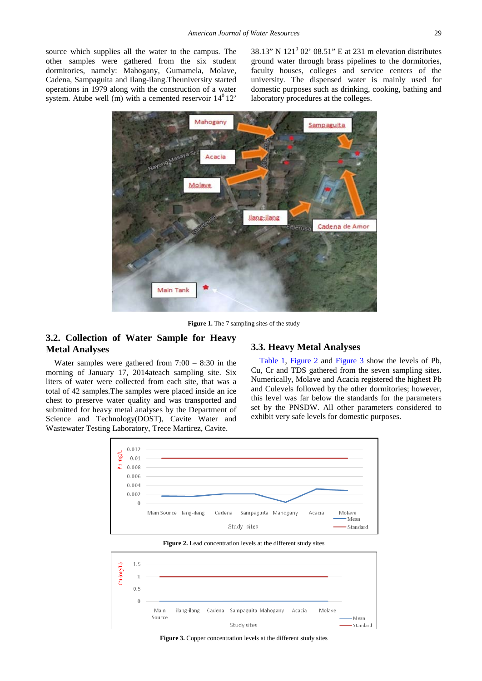<span id="page-2-0"></span>source which supplies all the water to the campus. The other samples were gathered from the six student dormitories, namely: Mahogany, Gumamela, Molave, Cadena, Sampaguita and Ilang-ilang.Theuniversity started operations in 1979 along with the construction of a water system. Atube well (m) with a cemented reservoir  $14^0 12$ 

38.13" N 121<sup>0</sup> 02' 08.51" E at 231 m elevation distributes ground water through brass pipelines to the dormitories, faculty houses, colleges and service centers of the university. The dispensed water is mainly used for domestic purposes such as drinking, cooking, bathing and laboratory procedures at the colleges.



**Figure 1.** The 7 sampling sites of the study

## **3.2. Collection of Water Sample for Heavy Metal Analyses**

Water samples were gathered from  $7:00 - 8:30$  in the morning of January 17, 2014ateach sampling site. Six liters of water were collected from each site, that was a total of 42 samples.The samples were placed inside an ice chest to preserve water quality and was transported and submitted for heavy metal analyses by the Department of Science and Technology(DOST), Cavite Water and Wastewater Testing Laboratory, Trece Martirez, Cavite.

#### **3.3. Heavy Metal Analyses**

[Table 1,](#page-3-0) [Figure 2](#page-2-1) and [Figure 3](#page-2-2) show the levels of Pb, Cu, Cr and TDS gathered from the seven sampling sites. Numerically, Molave and Acacia registered the highest Pb and Culevels followed by the other dormitories; however, this level was far below the standards for the parameters set by the PNSDW. All other parameters considered to exhibit very safe levels for domestic purposes.

<span id="page-2-1"></span>

<span id="page-2-2"></span>

**Figure 2.** Lead concentration levels at the different study sites

Figure 3. Copper concentration levels at the different study sites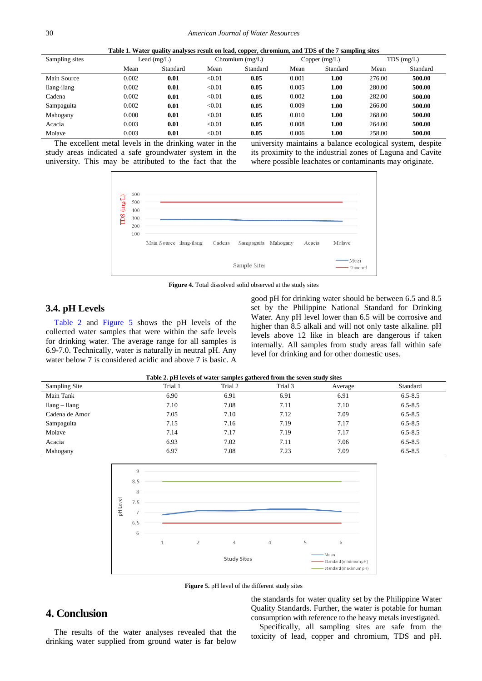|  |  |  | Table 1. Water quality analyses result on lead, copper, chromium, and TDS of the 7 sampling sites |  |  |
|--|--|--|---------------------------------------------------------------------------------------------------|--|--|
|  |  |  |                                                                                                   |  |  |

<span id="page-3-0"></span>

| Sampling sites | Lead $(mg/L)$ |          | Chromium $(mg/L)$ |          | Copper (mg/L) |          | $TDS$ (mg/L) |          |
|----------------|---------------|----------|-------------------|----------|---------------|----------|--------------|----------|
|                | Mean          | Standard | Mean              | Standard | Mean          | Standard | Mean         | Standard |
| Main Source    | 0.002         | 0.01     | < 0.01            | 0.05     | 0.001         | 1.00     | 276.00       | 500.00   |
| Ilang-ilang    | 0.002         | 0.01     | < 0.01            | 0.05     | 0.005         | 1.00     | 280.00       | 500.00   |
| Cadena         | 0.002         | 0.01     | < 0.01            | 0.05     | 0.002         | 1.00     | 282.00       | 500.00   |
| Sampaguita     | 0.002         | 0.01     | < 0.01            | 0.05     | 0.009         | 1.00     | 266.00       | 500.00   |
| Mahogany       | 0.000         | 0.01     | < 0.01            | 0.05     | 0.010         | 1.00     | 268.00       | 500.00   |
| Acacia         | 0.003         | 0.01     | < 0.01            | 0.05     | 0.008         | 1.00     | 264.00       | 500.00   |
| Molave         | 0.003         | 0.01     | < 0.01            | 0.05     | 0.006         | 1.00     | 258.00       | 500.00   |

The excellent metal levels in the drinking water in the study areas indicated a safe groundwater system in the university. This may be attributed to the fact that the university maintains a balance ecological system, despite its proximity to the industrial zones of Laguna and Cavite where possible leachates or contaminants may originate.



**Figure 4.** Total dissolved solid observed at the study sites

## **3.4. pH Levels**

[Table 2](#page-3-1) and [Figure 5](#page-3-2) shows the pH levels of the collected water samples that were within the safe levels for drinking water. The average range for all samples is 6.9-7.0. Technically, water is naturally in neutral pH. Any water below 7 is considered acidic and above 7 is basic. A good pH for drinking water should be between 6.5 and 8.5 set by the Philippine National Standard for Drinking Water. Any pH level lower than 6.5 will be corrosive and higher than 8.5 alkali and will not only taste alkaline. pH levels above 12 like in bleach are dangerous if taken internally. All samples from study areas fall within safe level for drinking and for other domestic uses.

|  |  | Table 2. pH levels of water samples gathered from the seven study sites |  |
|--|--|-------------------------------------------------------------------------|--|
|  |  |                                                                         |  |

<span id="page-3-1"></span>

| Twele It par to the or which buildings guardian in our me better being breed |         |         |         |         |             |  |
|------------------------------------------------------------------------------|---------|---------|---------|---------|-------------|--|
| Sampling Site                                                                | Trial 1 | Trial 2 | Trial 3 | Average | Standard    |  |
| Main Tank                                                                    | 6.90    | 6.91    | 6.91    | 6.91    | $6.5 - 8.5$ |  |
| $\text{Ilang} - \text{Ilang}$                                                | 7.10    | 7.08    | 7.11    | 7.10    | $6.5 - 8.5$ |  |
| Cadena de Amor                                                               | 7.05    | 7.10    | 7.12    | 7.09    | $6.5 - 8.5$ |  |
| Sampaguita                                                                   | 7.15    | 7.16    | 7.19    | 7.17    | $6.5 - 8.5$ |  |
| Molave                                                                       | 7.14    | 7.17    | 7.19    | 7.17    | $6.5 - 8.5$ |  |
| Acacia                                                                       | 6.93    | 7.02    | 7.11    | 7.06    | $6.5 - 8.5$ |  |
| Mahogany                                                                     | 6.97    | 7.08    | 7.23    | 7.09    | $6.5 - 8.5$ |  |

<span id="page-3-2"></span>

**Figure 5.** pH level of the different study sites

## **4. Conclusion**

The results of the water analyses revealed that the drinking water supplied from ground water is far below

the standards for water quality set by the Philippine Water Quality Standards. Further, the water is potable for human consumption with reference to the heavy metals investigated.

Specifically, all sampling sites are safe from the toxicity of lead, copper and chromium, TDS and pH.